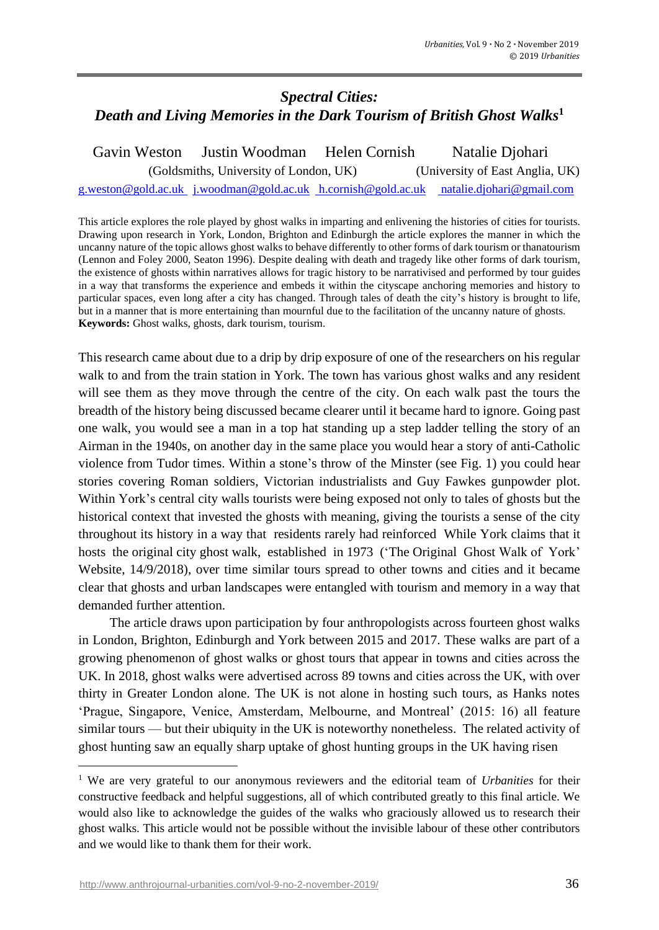# *Spectral Cities: Death and Living Memories in the Dark Tourism of British Ghost Walks***<sup>1</sup>**

 Gavin Weston Justin Woodman Helen Cornish Natalie Djohari (Goldsmiths, University of London, UK) (University of East Anglia, UK)

[g.weston@gold.ac.uk](mailto:g.weston@gold.ac.uk) [j.woodman@gold.ac.uk](mailto:j.woodman@gold.ac.uk) [h.cornish@gold.ac.uk](mailto:%20h.cornish@gold.ac.uk) [natalie.djohari@gmail.com](mailto:%20natalie.djohari@gmail.com)

This article explores the role played by ghost walks in imparting and enlivening the histories of cities for tourists. Drawing upon research in York, London, Brighton and Edinburgh the article explores the manner in which the uncanny nature of the topic allows ghost walks to behave differently to other forms of dark tourism or thanatourism (Lennon and Foley 2000, Seaton 1996). Despite dealing with death and tragedy like other forms of dark tourism, the existence of ghosts within narratives allows for tragic history to be narrativised and performed by tour guides in a way that transforms the experience and embeds it within the cityscape anchoring memories and history to particular spaces, even long after a city has changed. Through tales of death the city's history is brought to life, but in a manner that is more entertaining than mournful due to the facilitation of the uncanny nature of ghosts. **Keywords:** Ghost walks, ghosts, dark tourism, tourism.

This research came about due to a drip by drip exposure of one of the researchers on his regular walk to and from the train station in York. The town has various ghost walks and any resident will see them as they move through the centre of the city. On each walk past the tours the breadth of the history being discussed became clearer until it became hard to ignore. Going past one walk, you would see a man in a top hat standing up a step ladder telling the story of an Airman in the 1940s, on another day in the same place you would hear a story of anti-Catholic violence from Tudor times. Within a stone's throw of the Minster (see Fig. 1) you could hear stories covering Roman soldiers, Victorian industrialists and Guy Fawkes gunpowder plot. Within York's central city walls tourists were being exposed not only to tales of ghosts but the historical context that invested the ghosts with meaning, giving the tourists a sense of the city throughout its history in a way that residents rarely had reinforced While York claims that it hosts the original city ghost walk, established in 1973 ('The Original Ghost Walk of York' Website, 14/9/2018), over time similar tours spread to other towns and cities and it became clear that ghosts and urban landscapes were entangled with tourism and memory in a way that demanded further attention.

The article draws upon participation by four anthropologists across fourteen ghost walks in London, Brighton, Edinburgh and York between 2015 and 2017. These walks are part of a growing phenomenon of ghost walks or ghost tours that appear in towns and cities across the UK. In 2018, ghost walks were advertised across 89 towns and cities across the UK, with over thirty in Greater London alone. The UK is not alone in hosting such tours, as Hanks notes 'Prague, Singapore, Venice, Amsterdam, Melbourne, and Montreal' (2015: 16) all feature similar tours — but their ubiquity in the UK is noteworthy nonetheless. The related activity of ghost hunting saw an equally sharp uptake of ghost hunting groups in the UK having risen

<sup>1</sup> We are very grateful to our anonymous reviewers and the editorial team of *Urbanities* for their constructive feedback and helpful suggestions, all of which contributed greatly to this final article. We would also like to acknowledge the guides of the walks who graciously allowed us to research their ghost walks. This article would not be possible without the invisible labour of these other contributors and we would like to thank them for their work.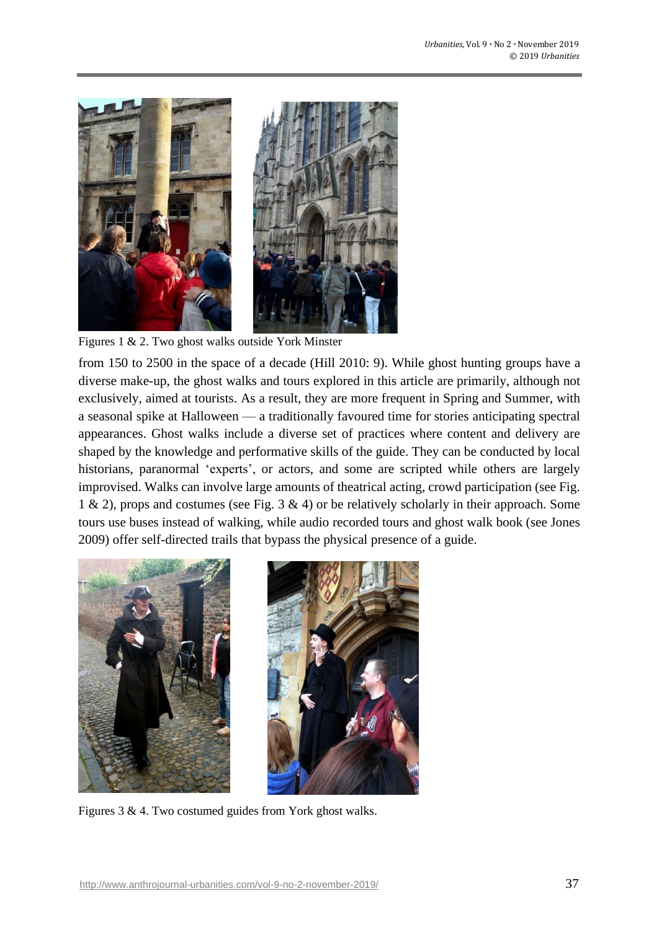

Figures 1 & 2. Two ghost walks outside York Minster

from 150 to 2500 in the space of a decade (Hill 2010: 9). While ghost hunting groups have a diverse make-up, the ghost walks and tours explored in this article are primarily, although not exclusively, aimed at tourists. As a result, they are more frequent in Spring and Summer, with a seasonal spike at Halloween — a traditionally favoured time for stories anticipating spectral appearances. Ghost walks include a diverse set of practices where content and delivery are shaped by the knowledge and performative skills of the guide. They can be conducted by local historians, paranormal 'experts', or actors, and some are scripted while others are largely improvised. Walks can involve large amounts of theatrical acting, crowd participation (see Fig. 1 & 2), props and costumes (see Fig. 3 & 4) or be relatively scholarly in their approach. Some tours use buses instead of walking, while audio recorded tours and ghost walk book (see Jones 2009) offer self-directed trails that bypass the physical presence of a guide.



Figures 3 & 4. Two costumed guides from York ghost walks.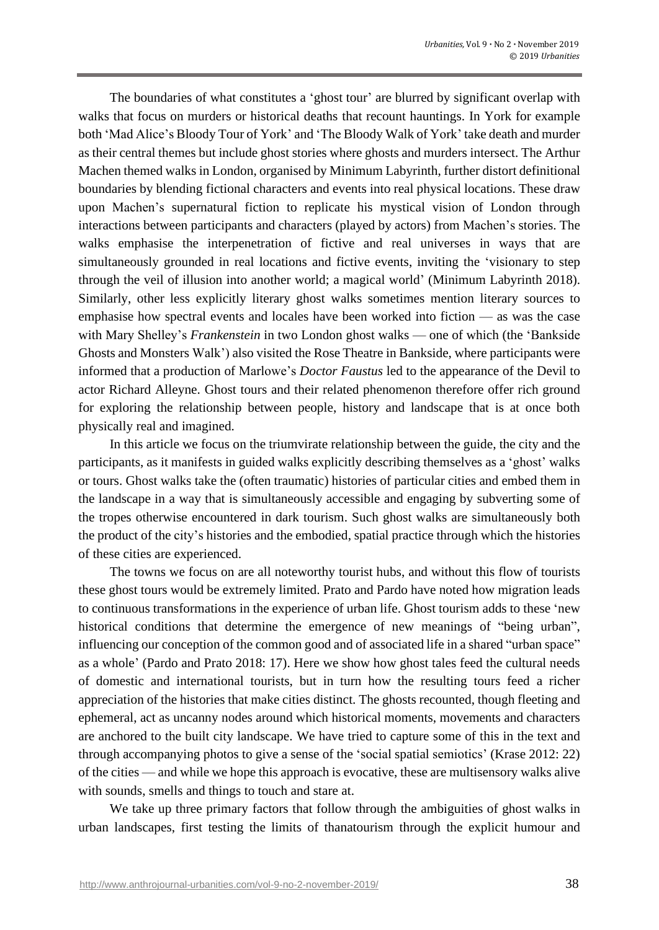The boundaries of what constitutes a 'ghost tour' are blurred by significant overlap with walks that focus on murders or historical deaths that recount hauntings. In York for example both 'Mad Alice's Bloody Tour of York' and 'The Bloody Walk of York' take death and murder as their central themes but include ghost stories where ghosts and murders intersect. The Arthur Machen themed walks in London, organised by Minimum Labyrinth, further distort definitional boundaries by blending fictional characters and events into real physical locations. These draw upon Machen's supernatural fiction to replicate his mystical vision of London through interactions between participants and characters (played by actors) from Machen's stories. The walks emphasise the interpenetration of fictive and real universes in ways that are simultaneously grounded in real locations and fictive events, inviting the 'visionary to step through the veil of illusion into another world; a magical world' (Minimum Labyrinth 2018). Similarly, other less explicitly literary ghost walks sometimes mention literary sources to emphasise how spectral events and locales have been worked into fiction — as was the case with Mary Shelley's *Frankenstein* in two London ghost walks — one of which (the 'Bankside Ghosts and Monsters Walk') also visited the Rose Theatre in Bankside, where participants were informed that a production of Marlowe's *Doctor Faustus* led to the appearance of the Devil to actor Richard Alleyne. Ghost tours and their related phenomenon therefore offer rich ground for exploring the relationship between people, history and landscape that is at once both physically real and imagined.

In this article we focus on the triumvirate relationship between the guide, the city and the participants, as it manifests in guided walks explicitly describing themselves as a 'ghost' walks or tours. Ghost walks take the (often traumatic) histories of particular cities and embed them in the landscape in a way that is simultaneously accessible and engaging by subverting some of the tropes otherwise encountered in dark tourism. Such ghost walks are simultaneously both the product of the city's histories and the embodied, spatial practice through which the histories of these cities are experienced.

The towns we focus on are all noteworthy tourist hubs, and without this flow of tourists these ghost tours would be extremely limited. Prato and Pardo have noted how migration leads to continuous transformations in the experience of urban life. Ghost tourism adds to these 'new historical conditions that determine the emergence of new meanings of "being urban", influencing our conception of the common good and of associated life in a shared "urban space" as a whole' (Pardo and Prato 2018: 17). Here we show how ghost tales feed the cultural needs of domestic and international tourists, but in turn how the resulting tours feed a richer appreciation of the histories that make cities distinct. The ghosts recounted, though fleeting and ephemeral, act as uncanny nodes around which historical moments, movements and characters are anchored to the built city landscape. We have tried to capture some of this in the text and through accompanying photos to give a sense of the 'social spatial semiotics' (Krase 2012: 22) of the cities — and while we hope this approach is evocative, these are multisensory walks alive with sounds, smells and things to touch and stare at.

We take up three primary factors that follow through the ambiguities of ghost walks in urban landscapes, first testing the limits of thanatourism through the explicit humour and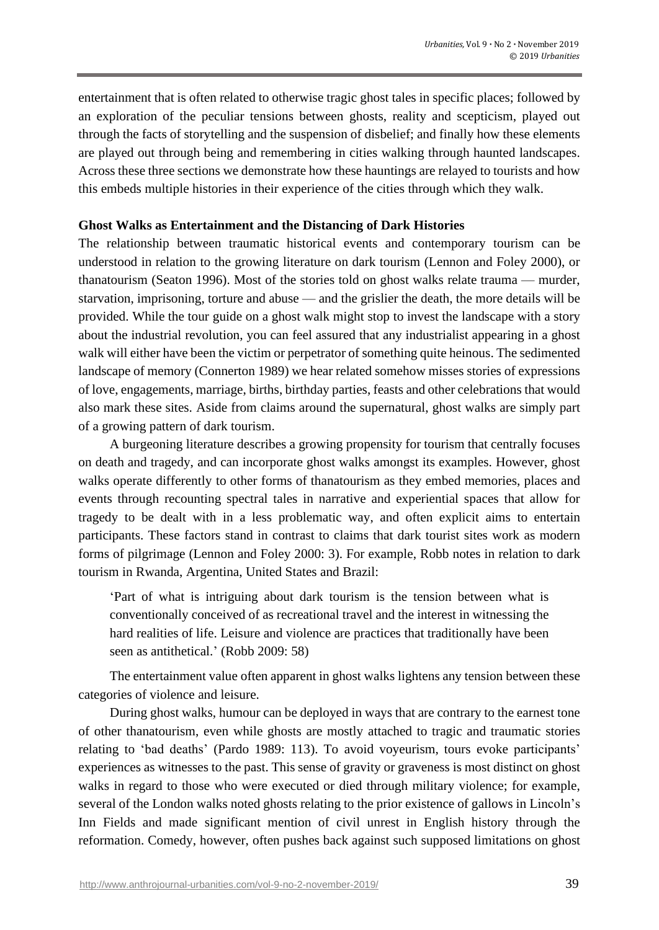entertainment that is often related to otherwise tragic ghost tales in specific places; followed by an exploration of the peculiar tensions between ghosts, reality and scepticism, played out through the facts of storytelling and the suspension of disbelief; and finally how these elements are played out through being and remembering in cities walking through haunted landscapes. Across these three sections we demonstrate how these hauntings are relayed to tourists and how this embeds multiple histories in their experience of the cities through which they walk.

## **Ghost Walks as Entertainment and the Distancing of Dark Histories**

The relationship between traumatic historical events and contemporary tourism can be understood in relation to the growing literature on dark tourism (Lennon and Foley 2000), or thanatourism (Seaton 1996). Most of the stories told on ghost walks relate trauma — murder, starvation, imprisoning, torture and abuse — and the grislier the death, the more details will be provided. While the tour guide on a ghost walk might stop to invest the landscape with a story about the industrial revolution, you can feel assured that any industrialist appearing in a ghost walk will either have been the victim or perpetrator of something quite heinous. The sedimented landscape of memory (Connerton 1989) we hear related somehow misses stories of expressions of love, engagements, marriage, births, birthday parties, feasts and other celebrations that would also mark these sites. Aside from claims around the supernatural, ghost walks are simply part of a growing pattern of dark tourism.

A burgeoning literature describes a growing propensity for tourism that centrally focuses on death and tragedy, and can incorporate ghost walks amongst its examples. However, ghost walks operate differently to other forms of thanatourism as they embed memories, places and events through recounting spectral tales in narrative and experiential spaces that allow for tragedy to be dealt with in a less problematic way, and often explicit aims to entertain participants. These factors stand in contrast to claims that dark tourist sites work as modern forms of pilgrimage (Lennon and Foley 2000: 3). For example, Robb notes in relation to dark tourism in Rwanda, Argentina, United States and Brazil:

'Part of what is intriguing about dark tourism is the tension between what is conventionally conceived of as recreational travel and the interest in witnessing the hard realities of life. Leisure and violence are practices that traditionally have been seen as antithetical.' (Robb 2009: 58)

The entertainment value often apparent in ghost walks lightens any tension between these categories of violence and leisure.

During ghost walks, humour can be deployed in ways that are contrary to the earnest tone of other thanatourism, even while ghosts are mostly attached to tragic and traumatic stories relating to 'bad deaths' (Pardo 1989: 113). To avoid voyeurism, tours evoke participants' experiences as witnesses to the past. This sense of gravity or graveness is most distinct on ghost walks in regard to those who were executed or died through military violence; for example, several of the London walks noted ghosts relating to the prior existence of gallows in Lincoln's Inn Fields and made significant mention of civil unrest in English history through the reformation. Comedy, however, often pushes back against such supposed limitations on ghost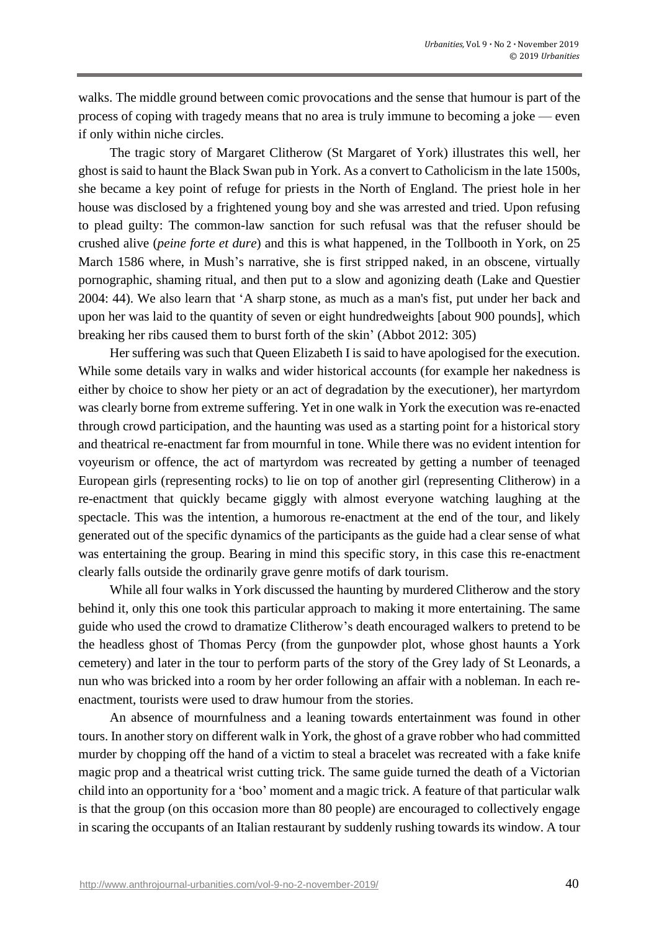walks. The middle ground between comic provocations and the sense that humour is part of the process of coping with tragedy means that no area is truly immune to becoming a joke — even if only within niche circles.

The tragic story of Margaret Clitherow (St Margaret of York) illustrates this well, her ghost is said to haunt the Black Swan pub in York. As a convert to Catholicism in the late 1500s, she became a key point of refuge for priests in the North of England. The priest hole in her house was disclosed by a frightened young boy and she was arrested and tried. Upon refusing to plead guilty: The common-law sanction for such refusal was that the refuser should be crushed alive (*peine forte et dure*) and this is what happened, in the Tollbooth in York, on 25 March 1586 where, in Mush's narrative, she is first stripped naked, in an obscene, virtually pornographic, shaming ritual, and then put to a slow and agonizing death (Lake and Questier 2004: 44). We also learn that 'A sharp stone, as much as a man's fist, put under her back and upon her was laid to the quantity of seven or eight hundredweights [about 900 pounds], which breaking her ribs caused them to burst forth of the skin' (Abbot 2012: 305)

Her suffering was such that Queen Elizabeth I is said to have apologised for the execution. While some details vary in walks and wider historical accounts (for example her nakedness is either by choice to show her piety or an act of degradation by the executioner), her martyrdom was clearly borne from extreme suffering. Yet in one walk in York the execution was re-enacted through crowd participation, and the haunting was used as a starting point for a historical story and theatrical re-enactment far from mournful in tone. While there was no evident intention for voyeurism or offence, the act of martyrdom was recreated by getting a number of teenaged European girls (representing rocks) to lie on top of another girl (representing Clitherow) in a re-enactment that quickly became giggly with almost everyone watching laughing at the spectacle. This was the intention, a humorous re-enactment at the end of the tour, and likely generated out of the specific dynamics of the participants as the guide had a clear sense of what was entertaining the group. Bearing in mind this specific story, in this case this re-enactment clearly falls outside the ordinarily grave genre motifs of dark tourism.

While all four walks in York discussed the haunting by murdered Clitherow and the story behind it, only this one took this particular approach to making it more entertaining. The same guide who used the crowd to dramatize Clitherow's death encouraged walkers to pretend to be the headless ghost of Thomas Percy (from the gunpowder plot, whose ghost haunts a York cemetery) and later in the tour to perform parts of the story of the Grey lady of St Leonards, a nun who was bricked into a room by her order following an affair with a nobleman. In each reenactment, tourists were used to draw humour from the stories.

An absence of mournfulness and a leaning towards entertainment was found in other tours. In another story on different walk in York, the ghost of a grave robber who had committed murder by chopping off the hand of a victim to steal a bracelet was recreated with a fake knife magic prop and a theatrical wrist cutting trick. The same guide turned the death of a Victorian child into an opportunity for a 'boo' moment and a magic trick. A feature of that particular walk is that the group (on this occasion more than 80 people) are encouraged to collectively engage in scaring the occupants of an Italian restaurant by suddenly rushing towards its window. A tour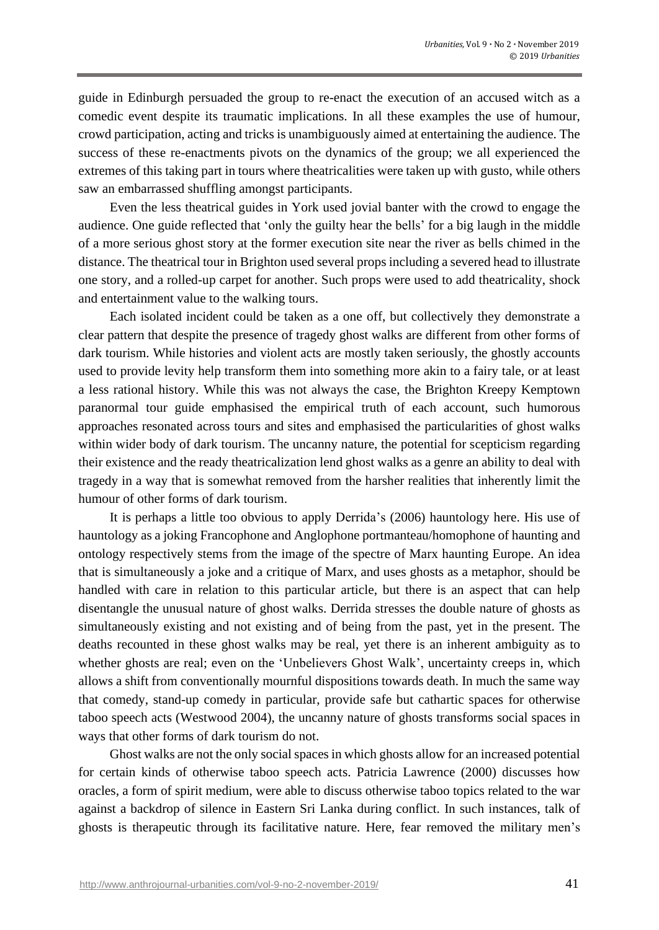guide in Edinburgh persuaded the group to re-enact the execution of an accused witch as a comedic event despite its traumatic implications. In all these examples the use of humour, crowd participation, acting and tricks is unambiguously aimed at entertaining the audience. The success of these re-enactments pivots on the dynamics of the group; we all experienced the extremes of this taking part in tours where theatricalities were taken up with gusto, while others saw an embarrassed shuffling amongst participants.

Even the less theatrical guides in York used jovial banter with the crowd to engage the audience. One guide reflected that 'only the guilty hear the bells' for a big laugh in the middle of a more serious ghost story at the former execution site near the river as bells chimed in the distance. The theatrical tour in Brighton used several props including a severed head to illustrate one story, and a rolled-up carpet for another. Such props were used to add theatricality, shock and entertainment value to the walking tours.

Each isolated incident could be taken as a one off, but collectively they demonstrate a clear pattern that despite the presence of tragedy ghost walks are different from other forms of dark tourism. While histories and violent acts are mostly taken seriously, the ghostly accounts used to provide levity help transform them into something more akin to a fairy tale, or at least a less rational history. While this was not always the case, the Brighton Kreepy Kemptown paranormal tour guide emphasised the empirical truth of each account, such humorous approaches resonated across tours and sites and emphasised the particularities of ghost walks within wider body of dark tourism. The uncanny nature, the potential for scepticism regarding their existence and the ready theatricalization lend ghost walks as a genre an ability to deal with tragedy in a way that is somewhat removed from the harsher realities that inherently limit the humour of other forms of dark tourism.

It is perhaps a little too obvious to apply Derrida's (2006) hauntology here. His use of hauntology as a joking Francophone and Anglophone portmanteau/homophone of haunting and ontology respectively stems from the image of the spectre of Marx haunting Europe. An idea that is simultaneously a joke and a critique of Marx, and uses ghosts as a metaphor, should be handled with care in relation to this particular article, but there is an aspect that can help disentangle the unusual nature of ghost walks. Derrida stresses the double nature of ghosts as simultaneously existing and not existing and of being from the past, yet in the present. The deaths recounted in these ghost walks may be real, yet there is an inherent ambiguity as to whether ghosts are real; even on the 'Unbelievers Ghost Walk', uncertainty creeps in, which allows a shift from conventionally mournful dispositions towards death. In much the same way that comedy, stand-up comedy in particular, provide safe but cathartic spaces for otherwise taboo speech acts (Westwood 2004), the uncanny nature of ghosts transforms social spaces in ways that other forms of dark tourism do not.

Ghost walks are not the only social spaces in which ghosts allow for an increased potential for certain kinds of otherwise taboo speech acts. Patricia Lawrence (2000) discusses how oracles, a form of spirit medium, were able to discuss otherwise taboo topics related to the war against a backdrop of silence in Eastern Sri Lanka during conflict. In such instances, talk of ghosts is therapeutic through its facilitative nature. Here, fear removed the military men's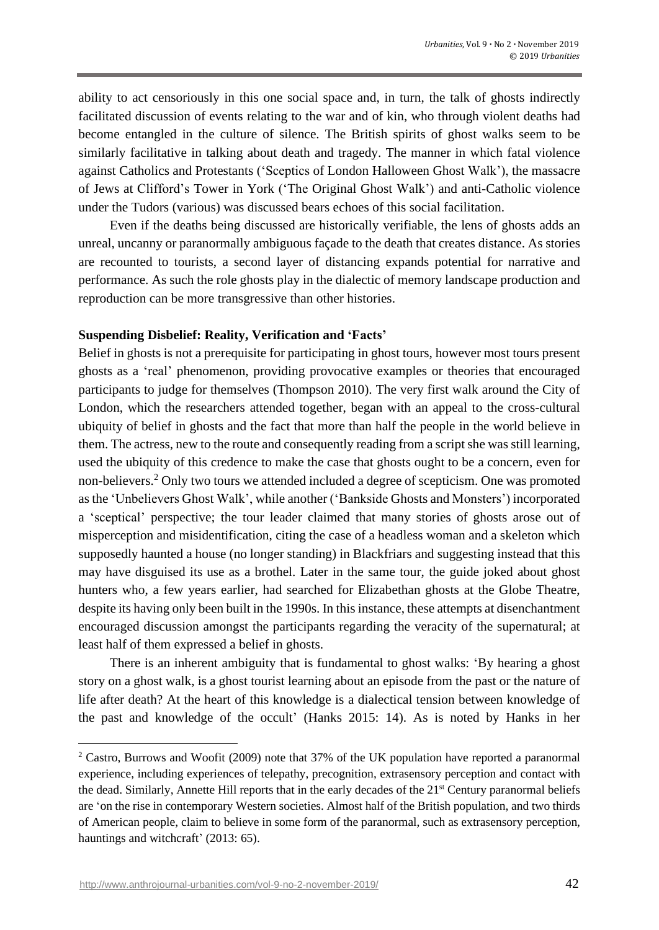ability to act censoriously in this one social space and, in turn, the talk of ghosts indirectly facilitated discussion of events relating to the war and of kin, who through violent deaths had become entangled in the culture of silence. The British spirits of ghost walks seem to be similarly facilitative in talking about death and tragedy. The manner in which fatal violence against Catholics and Protestants ('Sceptics of London Halloween Ghost Walk'), the massacre of Jews at Clifford's Tower in York ('The Original Ghost Walk') and anti-Catholic violence under the Tudors (various) was discussed bears echoes of this social facilitation.

Even if the deaths being discussed are historically verifiable, the lens of ghosts adds an unreal, uncanny or paranormally ambiguous façade to the death that creates distance. As stories are recounted to tourists, a second layer of distancing expands potential for narrative and performance. As such the role ghosts play in the dialectic of memory landscape production and reproduction can be more transgressive than other histories.

## **Suspending Disbelief: Reality, Verification and 'Facts'**

Belief in ghosts is not a prerequisite for participating in ghost tours, however most tours present ghosts as a 'real' phenomenon, providing provocative examples or theories that encouraged participants to judge for themselves (Thompson 2010). The very first walk around the City of London, which the researchers attended together, began with an appeal to the cross-cultural ubiquity of belief in ghosts and the fact that more than half the people in the world believe in them. The actress, new to the route and consequently reading from a script she was still learning, used the ubiquity of this credence to make the case that ghosts ought to be a concern, even for non-believers.<sup>2</sup> Only two tours we attended included a degree of scepticism. One was promoted as the 'Unbelievers Ghost Walk', while another ('Bankside Ghosts and Monsters') incorporated a 'sceptical' perspective; the tour leader claimed that many stories of ghosts arose out of misperception and misidentification, citing the case of a headless woman and a skeleton which supposedly haunted a house (no longer standing) in Blackfriars and suggesting instead that this may have disguised its use as a brothel. Later in the same tour, the guide joked about ghost hunters who, a few years earlier, had searched for Elizabethan ghosts at the Globe Theatre, despite its having only been built in the 1990s. In this instance, these attempts at disenchantment encouraged discussion amongst the participants regarding the veracity of the supernatural; at least half of them expressed a belief in ghosts.

There is an inherent ambiguity that is fundamental to ghost walks: 'By hearing a ghost story on a ghost walk, is a ghost tourist learning about an episode from the past or the nature of life after death? At the heart of this knowledge is a dialectical tension between knowledge of the past and knowledge of the occult' (Hanks 2015: 14). As is noted by Hanks in her

<http://www.anthrojournal-urbanities.com/vol-9-no-2-november-2019/> 42

<sup>&</sup>lt;sup>2</sup> Castro, Burrows and Woofit (2009) note that 37% of the UK population have reported a paranormal experience, including experiences of telepathy, precognition, extrasensory perception and contact with the dead. Similarly, Annette Hill reports that in the early decades of the 21<sup>st</sup> Century paranormal beliefs are 'on the rise in contemporary Western societies. Almost half of the British population, and two thirds of American people, claim to believe in some form of the paranormal, such as extrasensory perception, hauntings and witchcraft' (2013: 65).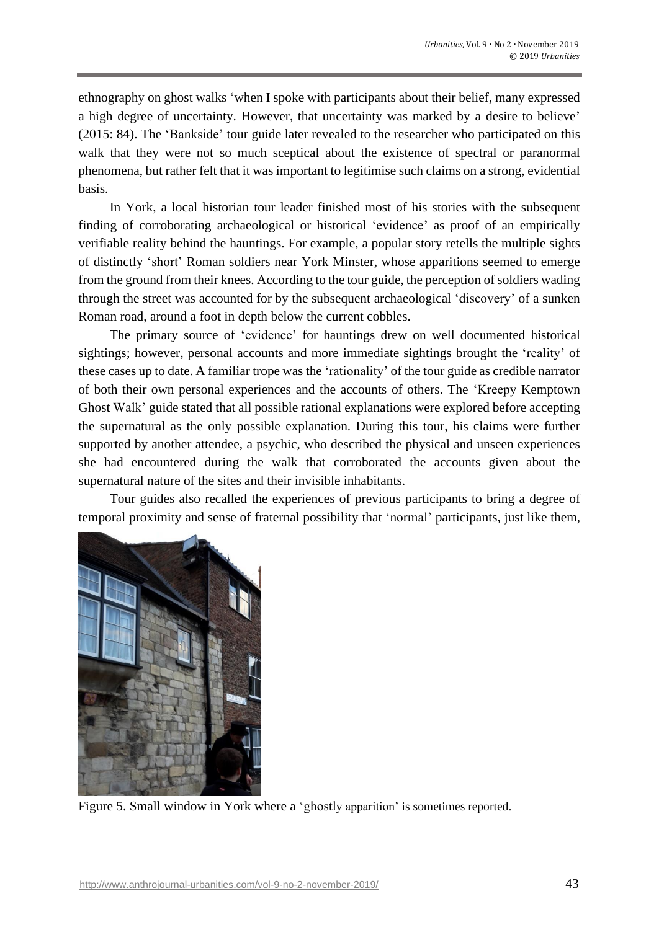ethnography on ghost walks 'when I spoke with participants about their belief, many expressed a high degree of uncertainty. However, that uncertainty was marked by a desire to believe' (2015: 84). The 'Bankside' tour guide later revealed to the researcher who participated on this walk that they were not so much sceptical about the existence of spectral or paranormal phenomena, but rather felt that it was important to legitimise such claims on a strong, evidential basis.

In York, a local historian tour leader finished most of his stories with the subsequent finding of corroborating archaeological or historical 'evidence' as proof of an empirically verifiable reality behind the hauntings. For example, a popular story retells the multiple sights of distinctly 'short' Roman soldiers near York Minster, whose apparitions seemed to emerge from the ground from their knees. According to the tour guide, the perception of soldiers wading through the street was accounted for by the subsequent archaeological 'discovery' of a sunken Roman road, around a foot in depth below the current cobbles.

The primary source of 'evidence' for hauntings drew on well documented historical sightings; however, personal accounts and more immediate sightings brought the 'reality' of these cases up to date. A familiar trope was the 'rationality' of the tour guide as credible narrator of both their own personal experiences and the accounts of others. The 'Kreepy Kemptown Ghost Walk' guide stated that all possible rational explanations were explored before accepting the supernatural as the only possible explanation. During this tour, his claims were further supported by another attendee, a psychic, who described the physical and unseen experiences she had encountered during the walk that corroborated the accounts given about the supernatural nature of the sites and their invisible inhabitants.

Tour guides also recalled the experiences of previous participants to bring a degree of temporal proximity and sense of fraternal possibility that 'normal' participants, just like them,



Figure 5. Small window in York where a 'ghostly apparition' is sometimes reported.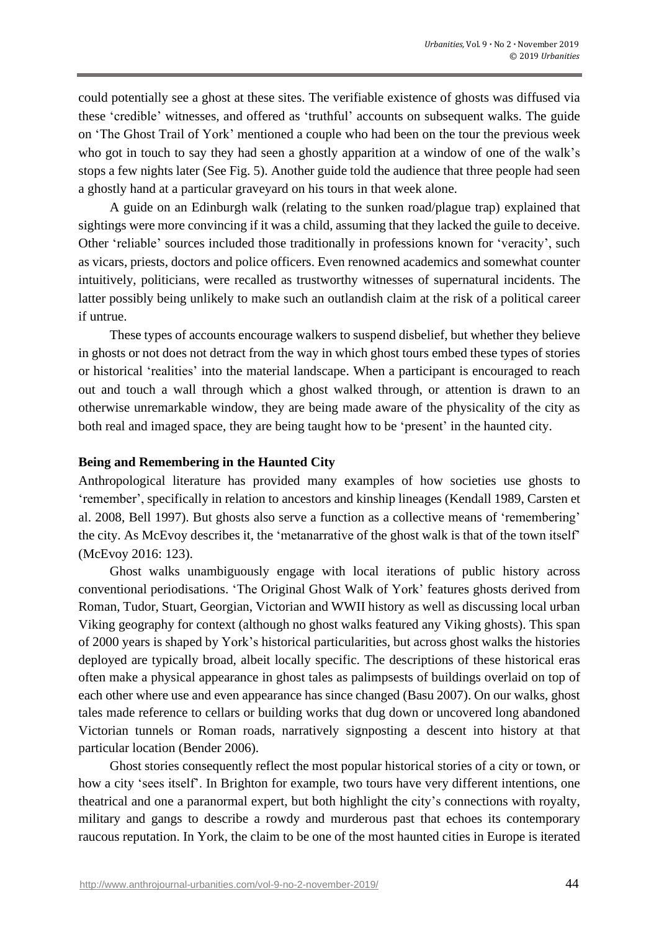could potentially see a ghost at these sites. The verifiable existence of ghosts was diffused via these 'credible' witnesses, and offered as 'truthful' accounts on subsequent walks. The guide on 'The Ghost Trail of York' mentioned a couple who had been on the tour the previous week who got in touch to say they had seen a ghostly apparition at a window of one of the walk's stops a few nights later (See Fig. 5). Another guide told the audience that three people had seen a ghostly hand at a particular graveyard on his tours in that week alone.

A guide on an Edinburgh walk (relating to the sunken road/plague trap) explained that sightings were more convincing if it was a child, assuming that they lacked the guile to deceive. Other 'reliable' sources included those traditionally in professions known for 'veracity', such as vicars, priests, doctors and police officers. Even renowned academics and somewhat counter intuitively, politicians, were recalled as trustworthy witnesses of supernatural incidents. The latter possibly being unlikely to make such an outlandish claim at the risk of a political career if untrue.

These types of accounts encourage walkers to suspend disbelief, but whether they believe in ghosts or not does not detract from the way in which ghost tours embed these types of stories or historical 'realities' into the material landscape. When a participant is encouraged to reach out and touch a wall through which a ghost walked through, or attention is drawn to an otherwise unremarkable window, they are being made aware of the physicality of the city as both real and imaged space, they are being taught how to be 'present' in the haunted city.

## **Being and Remembering in the Haunted City**

Anthropological literature has provided many examples of how societies use ghosts to 'remember', specifically in relation to ancestors and kinship lineages (Kendall 1989, Carsten et al. 2008, Bell 1997). But ghosts also serve a function as a collective means of 'remembering' the city. As McEvoy describes it, the 'metanarrative of the ghost walk is that of the town itself' (McEvoy 2016: 123).

Ghost walks unambiguously engage with local iterations of public history across conventional periodisations. 'The Original Ghost Walk of York' features ghosts derived from Roman, Tudor, Stuart, Georgian, Victorian and WWII history as well as discussing local urban Viking geography for context (although no ghost walks featured any Viking ghosts). This span of 2000 years is shaped by York's historical particularities, but across ghost walks the histories deployed are typically broad, albeit locally specific. The descriptions of these historical eras often make a physical appearance in ghost tales as palimpsests of buildings overlaid on top of each other where use and even appearance has since changed (Basu 2007). On our walks, ghost tales made reference to cellars or building works that dug down or uncovered long abandoned Victorian tunnels or Roman roads, narratively signposting a descent into history at that particular location (Bender 2006).

Ghost stories consequently reflect the most popular historical stories of a city or town, or how a city 'sees itself'. In Brighton for example, two tours have very different intentions, one theatrical and one a paranormal expert, but both highlight the city's connections with royalty, military and gangs to describe a rowdy and murderous past that echoes its contemporary raucous reputation. In York, the claim to be one of the most haunted cities in Europe is iterated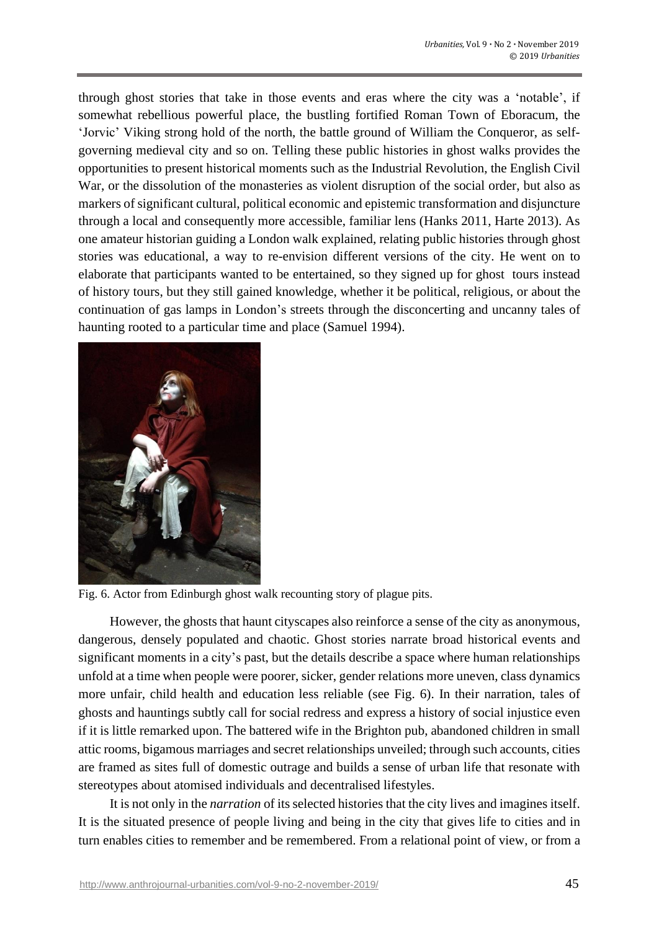through ghost stories that take in those events and eras where the city was a 'notable', if somewhat rebellious powerful place, the bustling fortified Roman Town of Eboracum, the 'Jorvic' Viking strong hold of the north, the battle ground of William the Conqueror, as selfgoverning medieval city and so on. Telling these public histories in ghost walks provides the opportunities to present historical moments such as the Industrial Revolution, the English Civil War, or the dissolution of the monasteries as violent disruption of the social order, but also as markers of significant cultural, political economic and epistemic transformation and disjuncture through a local and consequently more accessible, familiar lens (Hanks 2011, Harte 2013). As one amateur historian guiding a London walk explained, relating public histories through ghost stories was educational, a way to re-envision different versions of the city. He went on to elaborate that participants wanted to be entertained, so they signed up for ghost tours instead of history tours, but they still gained knowledge, whether it be political, religious, or about the continuation of gas lamps in London's streets through the disconcerting and uncanny tales of haunting rooted to a particular time and place (Samuel 1994).



Fig. 6. Actor from Edinburgh ghost walk recounting story of plague pits.

However, the ghosts that haunt cityscapes also reinforce a sense of the city as anonymous, dangerous, densely populated and chaotic. Ghost stories narrate broad historical events and significant moments in a city's past, but the details describe a space where human relationships unfold at a time when people were poorer, sicker, gender relations more uneven, class dynamics more unfair, child health and education less reliable (see Fig. 6). In their narration, tales of ghosts and hauntings subtly call for social redress and express a history of social injustice even if it is little remarked upon. The battered wife in the Brighton pub, abandoned children in small attic rooms, bigamous marriages and secret relationships unveiled; through such accounts, cities are framed as sites full of domestic outrage and builds a sense of urban life that resonate with stereotypes about atomised individuals and decentralised lifestyles.

It is not only in the *narration* of its selected histories that the city lives and imagines itself. It is the situated presence of people living and being in the city that gives life to cities and in turn enables cities to remember and be remembered. From a relational point of view, or from a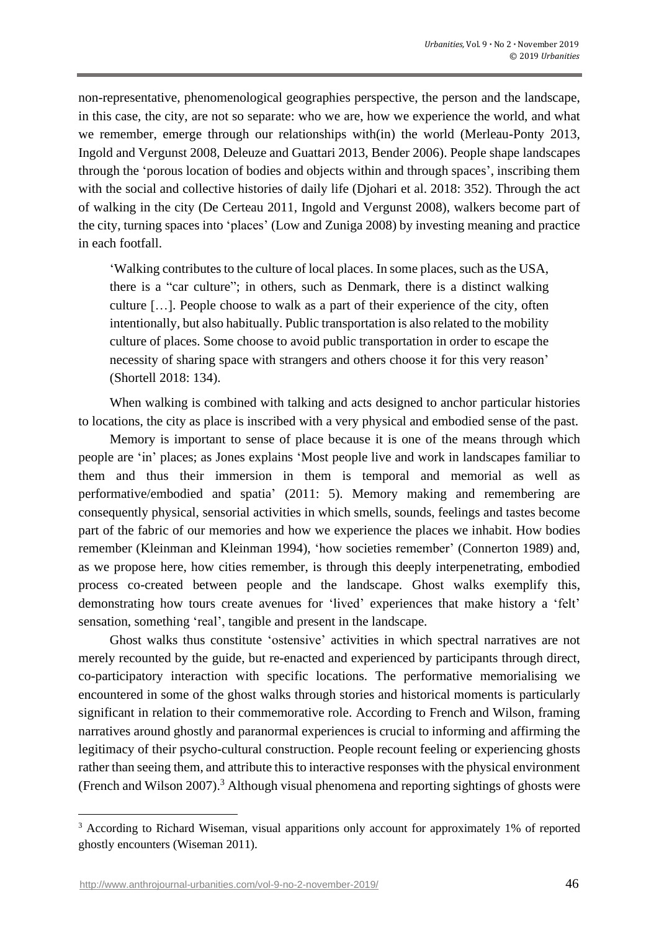non-representative, phenomenological geographies perspective, the person and the landscape, in this case, the city, are not so separate: who we are, how we experience the world, and what we remember, emerge through our relationships with(in) the world (Merleau-Ponty 2013, Ingold and Vergunst 2008, Deleuze and Guattari 2013, Bender 2006). People shape landscapes through the 'porous location of bodies and objects within and through spaces', inscribing them with the social and collective histories of daily life (Diohari et al. 2018: 352). Through the act of walking in the city (De Certeau 2011, Ingold and Vergunst 2008), walkers become part of the city, turning spaces into 'places' (Low and Zuniga 2008) by investing meaning and practice in each footfall.

'Walking contributes to the culture of local places. In some places, such as the USA, there is a "car culture"; in others, such as Denmark, there is a distinct walking culture […]. People choose to walk as a part of their experience of the city, often intentionally, but also habitually. Public transportation is also related to the mobility culture of places. Some choose to avoid public transportation in order to escape the necessity of sharing space with strangers and others choose it for this very reason' (Shortell 2018: 134).

When walking is combined with talking and acts designed to anchor particular histories to locations, the city as place is inscribed with a very physical and embodied sense of the past.

Memory is important to sense of place because it is one of the means through which people are 'in' places; as Jones explains 'Most people live and work in landscapes familiar to them and thus their immersion in them is temporal and memorial as well as performative/embodied and spatia' (2011: 5). Memory making and remembering are consequently physical, sensorial activities in which smells, sounds, feelings and tastes become part of the fabric of our memories and how we experience the places we inhabit. How bodies remember (Kleinman and Kleinman 1994), 'how societies remember' (Connerton 1989) and, as we propose here, how cities remember, is through this deeply interpenetrating, embodied process co-created between people and the landscape. Ghost walks exemplify this, demonstrating how tours create avenues for 'lived' experiences that make history a 'felt' sensation, something 'real', tangible and present in the landscape.

Ghost walks thus constitute 'ostensive' activities in which spectral narratives are not merely recounted by the guide, but re-enacted and experienced by participants through direct, co-participatory interaction with specific locations. The performative memorialising we encountered in some of the ghost walks through stories and historical moments is particularly significant in relation to their commemorative role. According to French and Wilson, framing narratives around ghostly and paranormal experiences is crucial to informing and affirming the legitimacy of their psycho-cultural construction. People recount feeling or experiencing ghosts rather than seeing them, and attribute this to interactive responses with the physical environment (French and Wilson 2007). <sup>3</sup> Although visual phenomena and reporting sightings of ghosts were

<sup>&</sup>lt;sup>3</sup> According to Richard Wiseman, visual apparitions only account for approximately 1% of reported ghostly encounters (Wiseman 2011).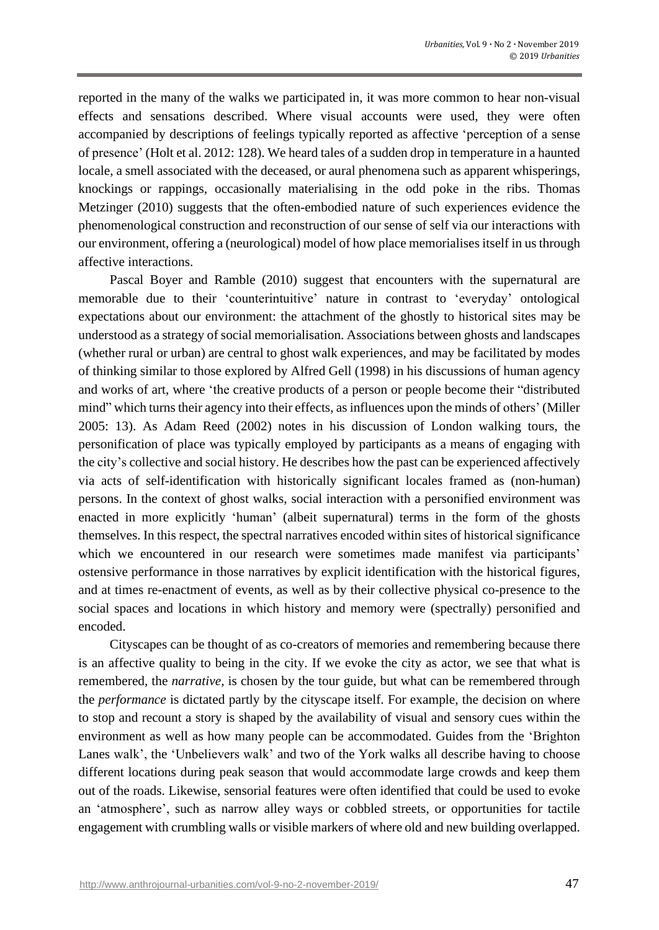reported in the many of the walks we participated in, it was more common to hear non-visual effects and sensations described. Where visual accounts were used, they were often accompanied by descriptions of feelings typically reported as affective 'perception of a sense of presence' (Holt et al. 2012: 128). We heard tales of a sudden drop in temperature in a haunted locale, a smell associated with the deceased, or aural phenomena such as apparent whisperings, knockings or rappings, occasionally materialising in the odd poke in the ribs. Thomas Metzinger (2010) suggests that the often-embodied nature of such experiences evidence the phenomenological construction and reconstruction of our sense of self via our interactions with our environment, offering a (neurological) model of how place memorialises itself in usthrough affective interactions.

Pascal Boyer and Ramble (2010) suggest that encounters with the supernatural are memorable due to their 'counterintuitive' nature in contrast to 'everyday' ontological expectations about our environment: the attachment of the ghostly to historical sites may be understood as a strategy of social memorialisation. Associations between ghosts and landscapes (whether rural or urban) are central to ghost walk experiences, and may be facilitated by modes of thinking similar to those explored by Alfred Gell (1998) in his discussions of human agency and works of art, where 'the creative products of a person or people become their "distributed mind" which turnstheir agency into their effects, asinfluences upon the minds of others' (Miller 2005: 13). As Adam Reed (2002) notes in his discussion of London walking tours, the personification of place was typically employed by participants as a means of engaging with the city's collective and social history. He describes how the past can be experienced affectively via acts of self-identification with historically significant locales framed as (non-human) persons. In the context of ghost walks, social interaction with a personified environment was enacted in more explicitly 'human' (albeit supernatural) terms in the form of the ghosts themselves. In this respect, the spectral narratives encoded within sites of historical significance which we encountered in our research were sometimes made manifest via participants' ostensive performance in those narratives by explicit identification with the historical figures, and at times re-enactment of events, as well as by their collective physical co-presence to the social spaces and locations in which history and memory were (spectrally) personified and encoded.

Cityscapes can be thought of as co-creators of memories and remembering because there is an affective quality to being in the city. If we evoke the city as actor, we see that what is remembered, the *narrative,* is chosen by the tour guide, but what can be remembered through the *performance* is dictated partly by the cityscape itself. For example, the decision on where to stop and recount a story is shaped by the availability of visual and sensory cues within the environment as well as how many people can be accommodated. Guides from the 'Brighton Lanes walk', the 'Unbelievers walk' and two of the York walks all describe having to choose different locations during peak season that would accommodate large crowds and keep them out of the roads. Likewise, sensorial features were often identified that could be used to evoke an 'atmosphere', such as narrow alley ways or cobbled streets, or opportunities for tactile engagement with crumbling walls or visible markers of where old and new building overlapped.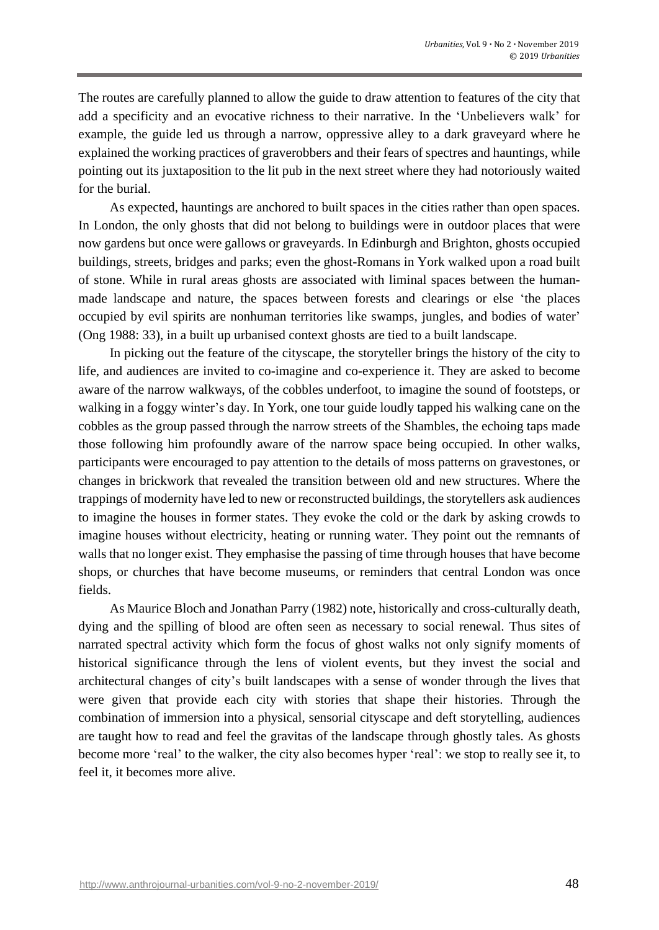The routes are carefully planned to allow the guide to draw attention to features of the city that add a specificity and an evocative richness to their narrative. In the 'Unbelievers walk' for example, the guide led us through a narrow, oppressive alley to a dark graveyard where he explained the working practices of graverobbers and their fears of spectres and hauntings, while pointing out its juxtaposition to the lit pub in the next street where they had notoriously waited for the burial.

As expected, hauntings are anchored to built spaces in the cities rather than open spaces. In London, the only ghosts that did not belong to buildings were in outdoor places that were now gardens but once were gallows or graveyards. In Edinburgh and Brighton, ghosts occupied buildings, streets, bridges and parks; even the ghost-Romans in York walked upon a road built of stone. While in rural areas ghosts are associated with liminal spaces between the humanmade landscape and nature, the spaces between forests and clearings or else 'the places occupied by evil spirits are nonhuman territories like swamps, jungles, and bodies of water' (Ong 1988: 33), in a built up urbanised context ghosts are tied to a built landscape.

In picking out the feature of the cityscape, the storyteller brings the history of the city to life, and audiences are invited to co-imagine and co-experience it. They are asked to become aware of the narrow walkways, of the cobbles underfoot, to imagine the sound of footsteps, or walking in a foggy winter's day. In York, one tour guide loudly tapped his walking cane on the cobbles as the group passed through the narrow streets of the Shambles, the echoing taps made those following him profoundly aware of the narrow space being occupied. In other walks, participants were encouraged to pay attention to the details of moss patterns on gravestones, or changes in brickwork that revealed the transition between old and new structures. Where the trappings of modernity have led to new or reconstructed buildings, the storytellers ask audiences to imagine the houses in former states. They evoke the cold or the dark by asking crowds to imagine houses without electricity, heating or running water. They point out the remnants of walls that no longer exist. They emphasise the passing of time through houses that have become shops, or churches that have become museums, or reminders that central London was once fields.

As Maurice Bloch and Jonathan Parry (1982) note, historically and cross-culturally death, dying and the spilling of blood are often seen as necessary to social renewal. Thus sites of narrated spectral activity which form the focus of ghost walks not only signify moments of historical significance through the lens of violent events, but they invest the social and architectural changes of city's built landscapes with a sense of wonder through the lives that were given that provide each city with stories that shape their histories. Through the combination of immersion into a physical, sensorial cityscape and deft storytelling, audiences are taught how to read and feel the gravitas of the landscape through ghostly tales. As ghosts become more 'real' to the walker, the city also becomes hyper 'real': we stop to really see it, to feel it, it becomes more alive.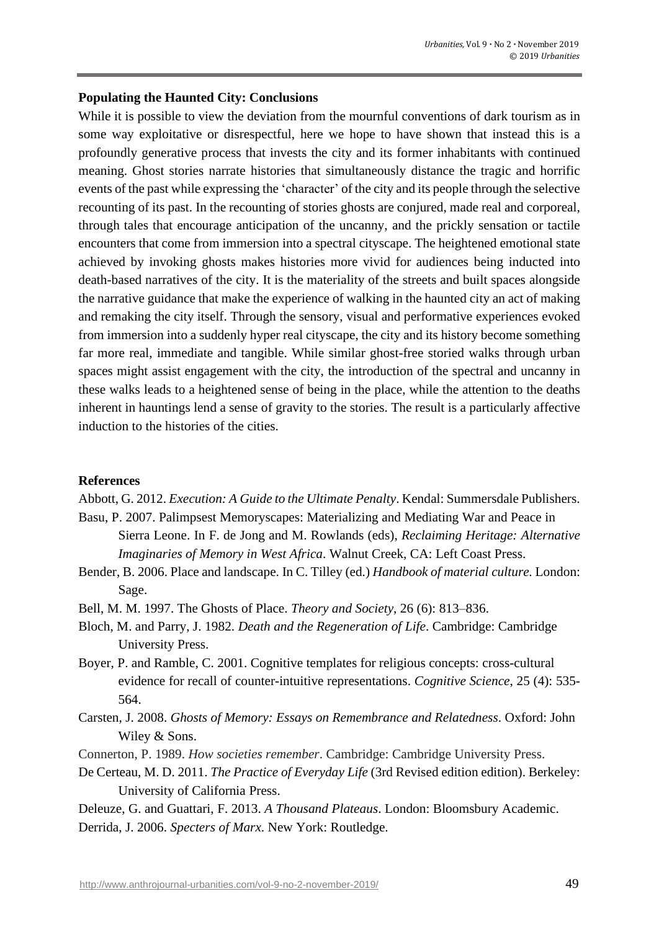#### **Populating the Haunted City: Conclusions**

While it is possible to view the deviation from the mournful conventions of dark tourism as in some way exploitative or disrespectful, here we hope to have shown that instead this is a profoundly generative process that invests the city and its former inhabitants with continued meaning. Ghost stories narrate histories that simultaneously distance the tragic and horrific events of the past while expressing the 'character' of the city and its people through the selective recounting of its past. In the recounting of stories ghosts are conjured, made real and corporeal, through tales that encourage anticipation of the uncanny, and the prickly sensation or tactile encounters that come from immersion into a spectral cityscape. The heightened emotional state achieved by invoking ghosts makes histories more vivid for audiences being inducted into death-based narratives of the city. It is the materiality of the streets and built spaces alongside the narrative guidance that make the experience of walking in the haunted city an act of making and remaking the city itself. Through the sensory, visual and performative experiences evoked from immersion into a suddenly hyper real cityscape, the city and its history become something far more real, immediate and tangible. While similar ghost-free storied walks through urban spaces might assist engagement with the city, the introduction of the spectral and uncanny in these walks leads to a heightened sense of being in the place, while the attention to the deaths inherent in hauntings lend a sense of gravity to the stories. The result is a particularly affective induction to the histories of the cities.

#### **References**

Abbott, G. 2012. *Execution: A Guide to the Ultimate Penalty*. Kendal: Summersdale Publishers.

- Basu, P. 2007. Palimpsest Memoryscapes: Materializing and Mediating War and Peace in Sierra Leone. In F. de Jong and M. Rowlands (eds), *Reclaiming Heritage: Alternative Imaginaries of Memory in West Africa*. Walnut Creek, CA: Left Coast Press.
- Bender, B. 2006. Place and landscape. In C. Tilley (ed.) *Handbook of material culture.* London: Sage.
- Bell, M. M. 1997. The Ghosts of Place. *Theory and Society*, 26 (6): 813–836.
- Bloch, M. and Parry, J. 1982. *Death and the Regeneration of Life*. Cambridge: Cambridge University Press.
- Boyer, P. and Ramble, C. 2001. Cognitive templates for religious concepts: cross-cultural evidence for recall of counter-intuitive representations. *Cognitive Science*, 25 (4): 535- 564.
- Carsten, J. 2008. *Ghosts of Memory: Essays on Remembrance and Relatedness*. Oxford: John Wiley & Sons.
- Connerton, P. 1989. *How societies remember*. Cambridge: Cambridge University Press.
- De Certeau, M. D. 2011. *The Practice of Everyday Life* (3rd Revised edition edition). Berkeley: University of California Press.
- Deleuze, G. and Guattari, F. 2013. *A Thousand Plateaus*. London: Bloomsbury Academic.
- Derrida, J. 2006. *Specters of Marx*. New York: Routledge.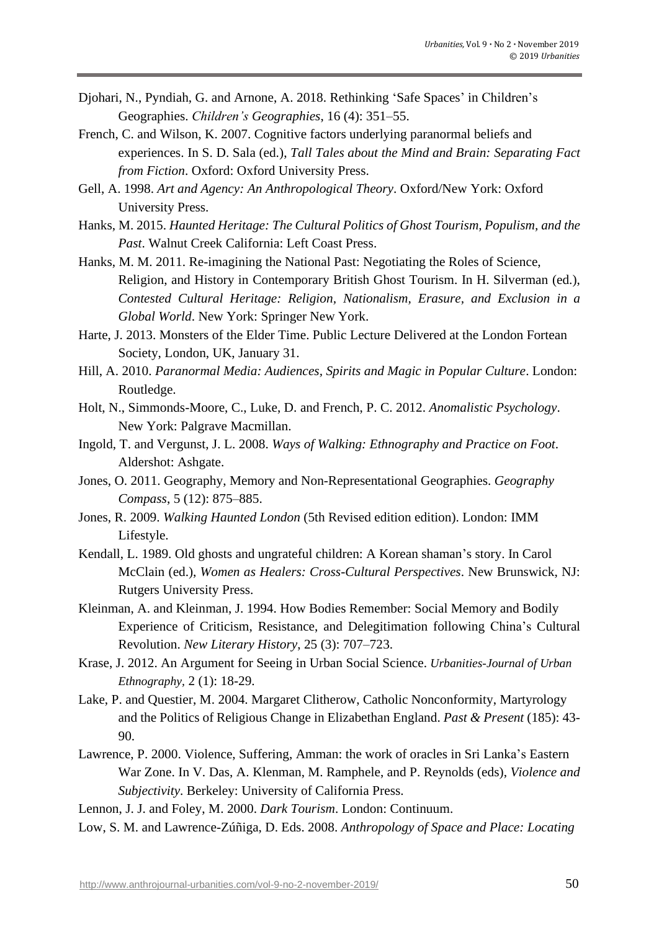- Djohari, N., Pyndiah, G. and Arnone, A. 2018. Rethinking 'Safe Spaces' in Children's Geographies. *Children's Geographies*, 16 (4): 351–55.
- French, C. and Wilson, K. 2007. Cognitive factors underlying paranormal beliefs and experiences. In S. D. Sala (ed.), *Tall Tales about the Mind and Brain: Separating Fact from Fiction*. Oxford: Oxford University Press.
- Gell, A. 1998. *Art and Agency: An Anthropological Theory*. Oxford/New York: Oxford University Press.
- Hanks, M. 2015. *Haunted Heritage: The Cultural Politics of Ghost Tourism, Populism, and the Past*. Walnut Creek California: Left Coast Press.
- Hanks, M. M. 2011. Re-imagining the National Past: Negotiating the Roles of Science, Religion, and History in Contemporary British Ghost Tourism. In H. Silverman (ed.), *Contested Cultural Heritage: Religion, Nationalism, Erasure, and Exclusion in a Global World*. New York: Springer New York.
- Harte, J. 2013. Monsters of the Elder Time. Public Lecture Delivered at the London Fortean Society, London, UK, January 31.
- Hill, A. 2010. *Paranormal Media: Audiences, Spirits and Magic in Popular Culture*. London: Routledge.
- Holt, N., Simmonds-Moore, C., Luke, D. and French, P. C. 2012. *Anomalistic Psychology*. New York: Palgrave Macmillan.
- Ingold, T. and Vergunst, J. L. 2008. *Ways of Walking: Ethnography and Practice on Foot*. Aldershot: Ashgate.
- Jones, O. 2011. Geography, Memory and Non-Representational Geographies. *Geography Compass*, 5 (12): 875–885.
- Jones, R. 2009. *Walking Haunted London* (5th Revised edition edition). London: IMM Lifestyle.
- Kendall, L. 1989. Old ghosts and ungrateful children: A Korean shaman's story. In Carol McClain (ed.), *Women as Healers: Cross-Cultural Perspectives*. New Brunswick, NJ: Rutgers University Press.
- Kleinman, A. and Kleinman, J. 1994. How Bodies Remember: Social Memory and Bodily Experience of Criticism, Resistance, and Delegitimation following China's Cultural Revolution. *New Literary History*, 25 (3): 707–723.
- Krase, J. 2012. An Argument for Seeing in Urban Social Science. *Urbanities-Journal of Urban Ethnography,* 2 (1): 18-29.
- Lake, P. and Questier, M. 2004. Margaret Clitherow, Catholic Nonconformity, Martyrology and the Politics of Religious Change in Elizabethan England. *Past & Present* (185): 43- 90.
- Lawrence, P. 2000. Violence, Suffering, Amman: the work of oracles in Sri Lanka's Eastern War Zone. In V. Das, A. Klenman, M. Ramphele, and P. Reynolds (eds), *Violence and Subjectivity*. Berkeley: University of California Press.
- Lennon, J. J. and Foley, M. 2000. *Dark Tourism*. London: Continuum.
- Low, S. M. and Lawrence-Zúñiga, D. Eds. 2008. *Anthropology of Space and Place: Locating*